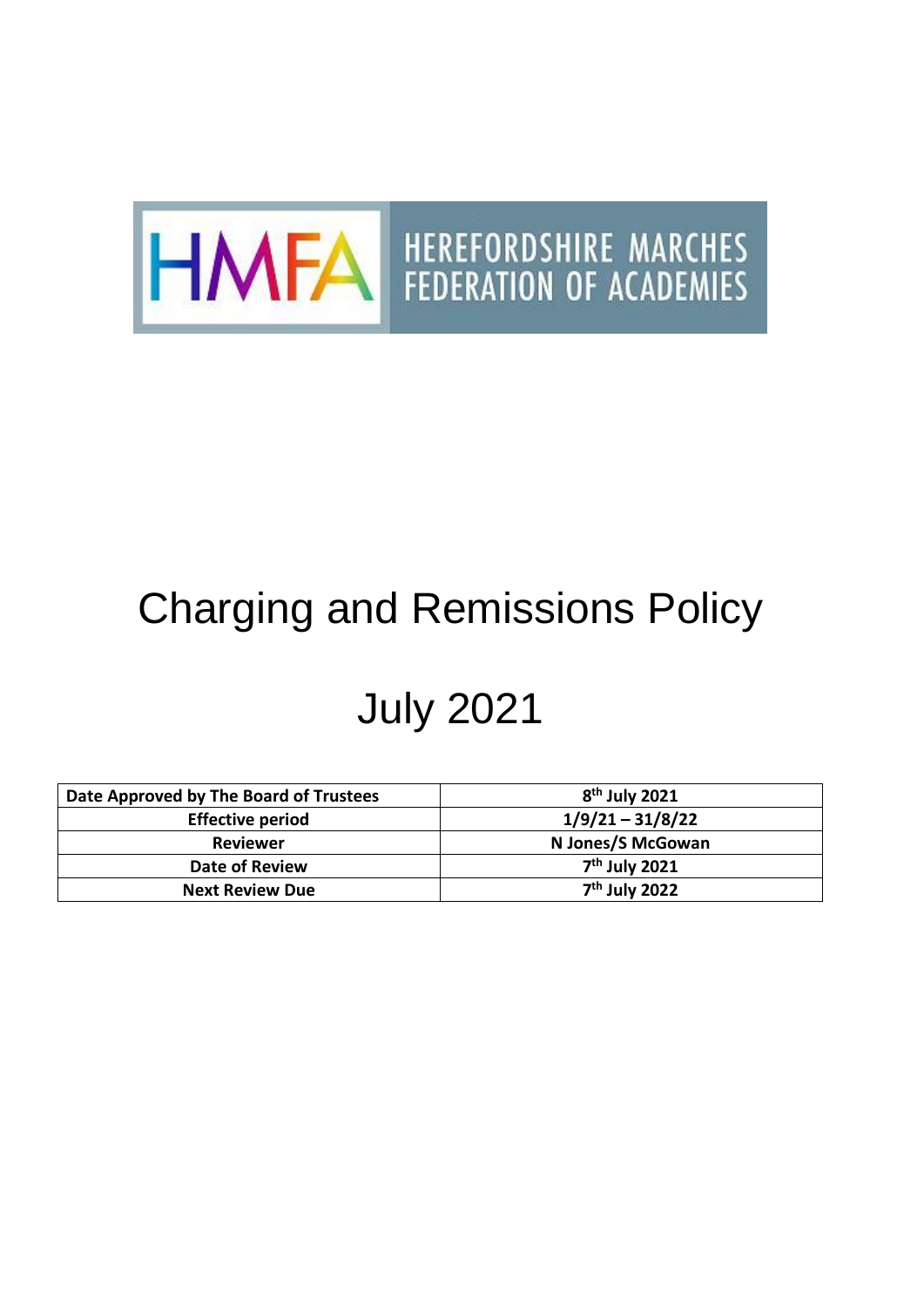

## Charging and Remissions Policy

# July 2021

| Date Approved by The Board of Trustees | $8th$ July 2021           |
|----------------------------------------|---------------------------|
| <b>Effective period</b>                | $1/9/21 - 31/8/22$        |
| Reviewer                               | N Jones/S McGowan         |
| <b>Date of Review</b>                  | 7 <sup>th</sup> July 2021 |
| <b>Next Review Due</b>                 | 7 <sup>th</sup> July 2022 |